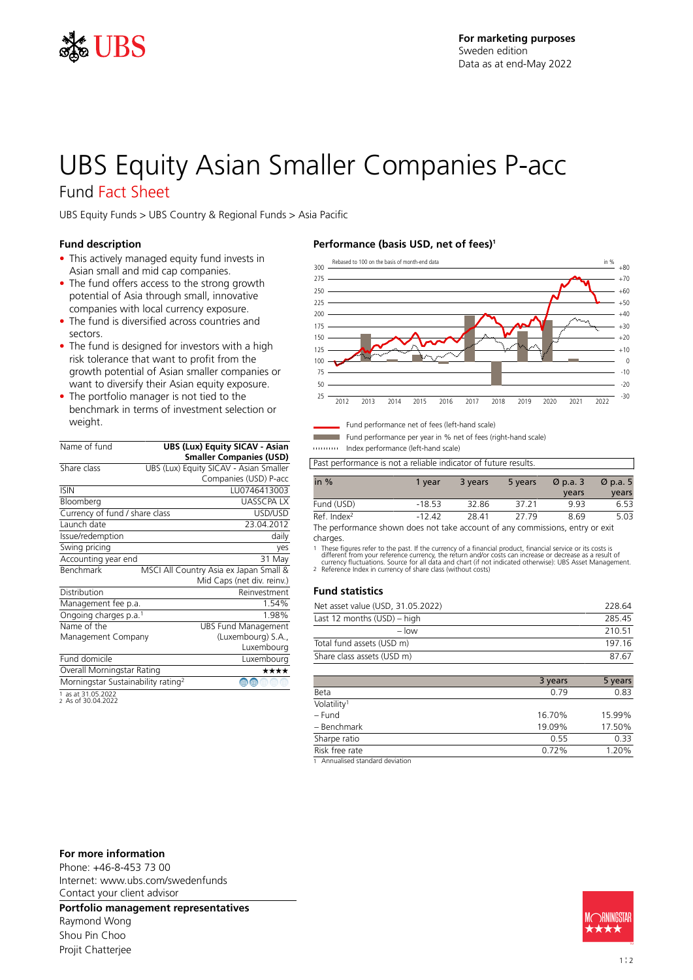

# UBS Equity Asian Smaller Companies P-acc

### Fund Fact Sheet

UBS Equity Funds > UBS Country & Regional Funds > Asia Pacific

### **Fund description**

- This actively managed equity fund invests in Asian small and mid cap companies.
- The fund offers access to the strong growth potential of Asia through small, innovative companies with local currency exposure.
- The fund is diversified across countries and sectors.
- The fund is designed for investors with a high risk tolerance that want to profit from the growth potential of Asian smaller companies or want to diversify their Asian equity exposure.
- The portfolio manager is not tied to the benchmark in terms of investment selection or weight.

| Name of fund                                   | <b>UBS (Lux) Equity SICAV - Asian</b><br><b>Smaller Companies (USD)</b> |
|------------------------------------------------|-------------------------------------------------------------------------|
| Share class                                    | UBS (Lux) Equity SICAV - Asian Smaller                                  |
|                                                | Companies (USD) P-acc                                                   |
| <b>ISIN</b>                                    | LU0746413003                                                            |
| Bloomberg                                      | <b>UASSCPAIX</b>                                                        |
| Currency of fund / share class                 | USD/USD                                                                 |
| Launch date                                    | 23.04.2012                                                              |
| Issue/redemption                               | daily                                                                   |
| Swing pricing                                  | yes                                                                     |
| Accounting year end                            | 31 May                                                                  |
| Benchmark                                      | MSCI All Country Asia ex Japan Small &                                  |
|                                                | Mid Caps (net div. reinv.)                                              |
| Distribution                                   | Reinvestment                                                            |
| Management fee p.a.                            | 1.54%                                                                   |
| Ongoing charges p.a. <sup>1</sup>              | 1.98%                                                                   |
| Name of the                                    | <b>UBS Fund Management</b>                                              |
| Management Company                             | (Luxembourg) S.A.,                                                      |
|                                                | Luxembourg                                                              |
| Fund domicile                                  | Luxembourg                                                              |
| Overall Morningstar Rating                     | ****                                                                    |
| Morningstar Sustainability rating <sup>2</sup> | ⊕                                                                       |
| $1 - 2105222$                                  |                                                                         |

1 as at 31.05.2022 2 As of 30.04.2022

### **Performance (basis USD, net of fees)<sup>1</sup>**



Fund performance net of fees (left-hand scale)

Fund performance per year in % net of fees (right-hand scale)

Index performance (left-hand scale)

Past performance is not a reliable indicator of future results.

| in $%$                                                                       | 1 vear | 3 years | 5 years | $\varnothing$ p.a. 3 | $\varnothing$ p.a. 5 |
|------------------------------------------------------------------------------|--------|---------|---------|----------------------|----------------------|
|                                                                              |        |         |         | years                | years                |
| Fund (USD)                                                                   | -18.53 | 32.86   | 37 21   | 993                  | 653                  |
| Ref Index <sup>2</sup>                                                       | -12.42 | 28.41   | 27.79   | 8.69                 | 5.03                 |
| The nerformance shown does not take account of any commissions entry or exit |        |         |         |                      |                      |

e performance shown does not take account of any commissions, entry or exit charges.

1 These figures refer to the past. If the currency of a financial product, financial service or its costs is<br>different from your reference currency, the return and/or costs can increase or decrease as a result of<br>currency

### **Fund statistics**

| Net asset value (USD, 31.05.2022) | 228.64 |
|-----------------------------------|--------|
| Last 12 months (USD) – high       | 28545  |
| $-$ low                           | 210.51 |
| Total fund assets (USD m)         | 197 16 |
| Share class assets (USD m)        | 87.67  |

|                                            | 3 years | 5 years |
|--------------------------------------------|---------|---------|
| Beta                                       | 0.79    | 0.83    |
| Volatility <sup>1</sup>                    |         |         |
| $-$ Fund                                   | 16.70%  | 15.99%  |
| - Benchmark                                | 19.09%  | 17.50%  |
| Sharpe ratio                               | 0.55    | 0.33    |
| Risk free rate                             | 0.72%   | 1.20%   |
| 4. A mortalization distantian distribution |         |         |

1 Annualised standard deviation

#### **For more information**

Phone: +46-8-453 73 00 Internet: www.ubs.com/swedenfunds Contact your client advisor

**Portfolio management representatives**

Raymond Wong Shou Pin Choo Projit Chatterjee